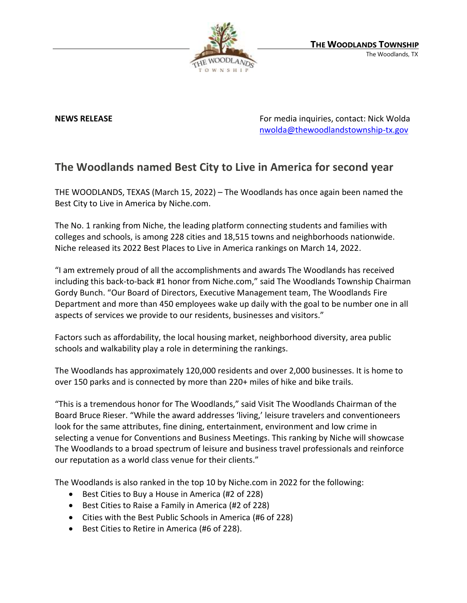

**NEWS RELEASE** For media inquiries, contact: Nick Wolda **NEWS** RELEASE [nwolda@thewoodlandstownship-tx.gov](mailto:nwolda@thewoodlandstownship-tx.gov)

## **The Woodlands named Best City to Live in America for second year**

THE WOODLANDS, TEXAS (March 15, 2022) – The Woodlands has once again been named the Best City to Live in America by Niche.com.

The No. 1 ranking from Niche, the leading platform connecting students and families with colleges and schools, is among 228 cities and 18,515 towns and neighborhoods nationwide. Niche released its 2022 Best Places to Live in America rankings on March 14, 2022.

"I am extremely proud of all the accomplishments and awards The Woodlands has received including this back-to-back #1 honor from Niche.com," said The Woodlands Township Chairman Gordy Bunch. "Our Board of Directors, Executive Management team, The Woodlands Fire Department and more than 450 employees wake up daily with the goal to be number one in all aspects of services we provide to our residents, businesses and visitors."

Factors such as affordability, the local housing market, neighborhood diversity, area public schools and walkability play a role in determining the rankings.

The Woodlands has approximately 120,000 residents and over 2,000 businesses. It is home to over 150 parks and is connected by more than 220+ miles of hike and bike trails.

"This is a tremendous honor for The Woodlands," said Visit The Woodlands Chairman of the Board Bruce Rieser. "While the award addresses 'living,' leisure travelers and conventioneers look for the same attributes, fine dining, entertainment, environment and low crime in selecting a venue for Conventions and Business Meetings. This ranking by Niche will showcase The Woodlands to a broad spectrum of leisure and business travel professionals and reinforce our reputation as a world class venue for their clients."

The Woodlands is also ranked in the top 10 by Niche.com in 2022 for the following:

- Best Cities to Buy a House in America (#2 of 228)
- Best Cities to Raise a Family in America (#2 of 228)
- Cities with the Best Public Schools in America (#6 of 228)
- Best Cities to Retire in America (#6 of 228).